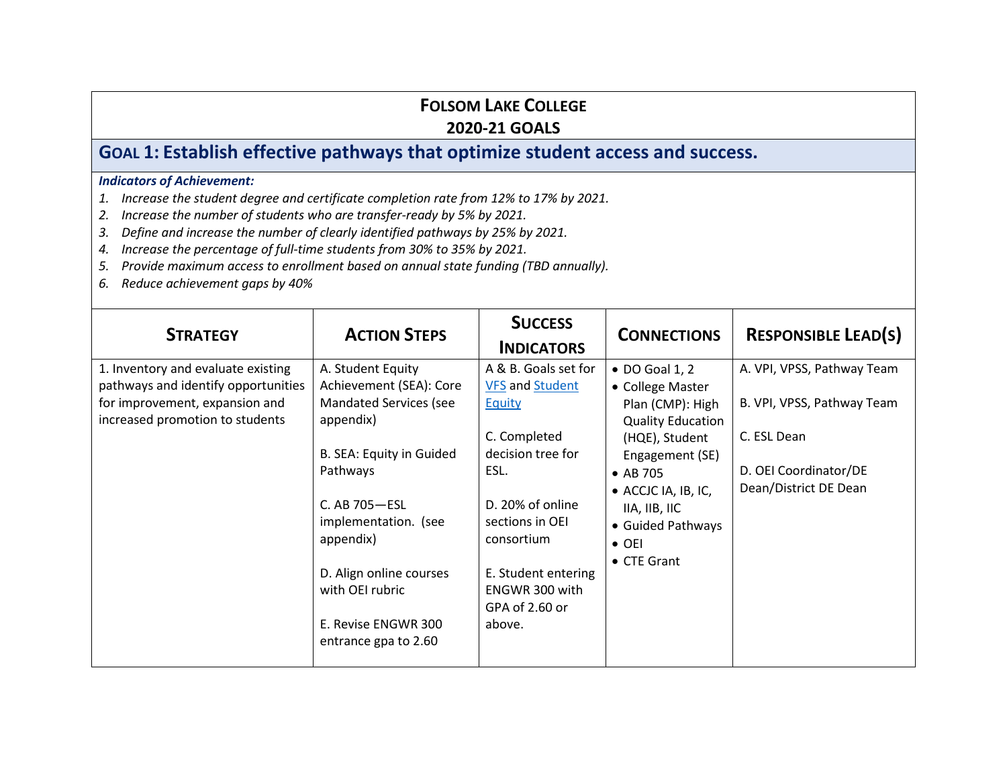# **GOAL 1: Establish effective pathways that optimize student access and success.**

- *1. Increase the student degree and certificate completion rate from 12% to 17% by 2021.*
- *2. Increase the number of students who are transfer-ready by 5% by 2021.*
- *3. Define and increase the number of clearly identified pathways by 25% by 2021.*
- *4. Increase the percentage of full-time students from 30% to 35% by 2021.*
- *5. Provide maximum access to enrollment based on annual state funding (TBD annually).*
- *6. Reduce achievement gaps by 40%*

| <b>STRATEGY</b>                                                                                                                                | <b>ACTION STEPS</b>                                                                                                                                                                                                                                                            | <b>SUCCESS</b><br><b>INDICATORS</b>                                                                                                                                                                                             | <b>CONNECTIONS</b>                                                                                                                                                                                                                               | <b>RESPONSIBLE LEAD(S)</b>                                                                                                |
|------------------------------------------------------------------------------------------------------------------------------------------------|--------------------------------------------------------------------------------------------------------------------------------------------------------------------------------------------------------------------------------------------------------------------------------|---------------------------------------------------------------------------------------------------------------------------------------------------------------------------------------------------------------------------------|--------------------------------------------------------------------------------------------------------------------------------------------------------------------------------------------------------------------------------------------------|---------------------------------------------------------------------------------------------------------------------------|
| 1. Inventory and evaluate existing<br>pathways and identify opportunities<br>for improvement, expansion and<br>increased promotion to students | A. Student Equity<br>Achievement (SEA): Core<br>Mandated Services (see<br>appendix)<br>B. SEA: Equity in Guided<br>Pathways<br>C. AB 705-ESL<br>implementation. (see<br>appendix)<br>D. Align online courses<br>with OEI rubric<br>E. Revise ENGWR 300<br>entrance gpa to 2.60 | A & B. Goals set for<br><b>VFS and Student</b><br>Equity<br>C. Completed<br>decision tree for<br>ESL.<br>D. 20% of online<br>sections in OEI<br>consortium<br>E. Student entering<br>ENGWR 300 with<br>GPA of 2.60 or<br>above. | • DO Goal 1, 2<br>• College Master<br>Plan (CMP): High<br><b>Quality Education</b><br>(HQE), Student<br>Engagement (SE)<br>$\bullet$ AB 705<br>• ACCJC IA, IB, IC,<br>IIA, IIB, IIC<br>• Guided Pathways<br>$\bullet$ OEI<br>$\bullet$ CTE Grant | A. VPI, VPSS, Pathway Team<br>B. VPI, VPSS, Pathway Team<br>C. ESL Dean<br>D. OEI Coordinator/DE<br>Dean/District DE Dean |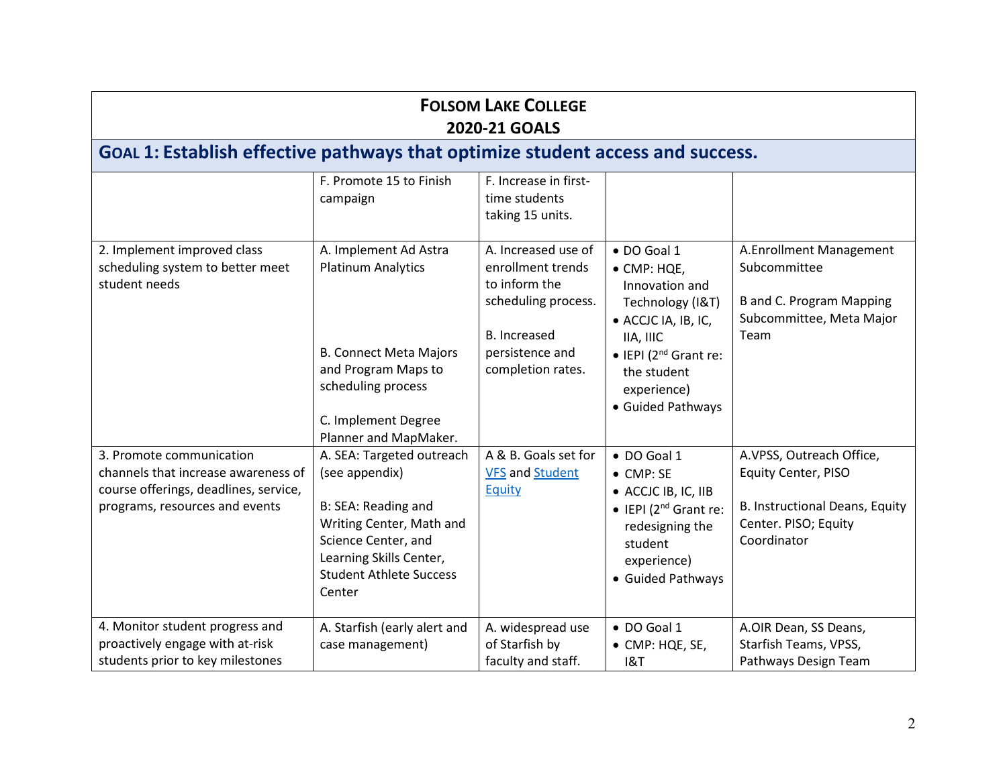|                                                                                                                                            | <b>FOLSOM LAKE COLLEGE</b><br><b>2020-21 GOALS</b>                                                                                                                                           |                                                                                                                                                 |                                                                                                                                                                                                      |                                                                                                                          |  |
|--------------------------------------------------------------------------------------------------------------------------------------------|----------------------------------------------------------------------------------------------------------------------------------------------------------------------------------------------|-------------------------------------------------------------------------------------------------------------------------------------------------|------------------------------------------------------------------------------------------------------------------------------------------------------------------------------------------------------|--------------------------------------------------------------------------------------------------------------------------|--|
| GOAL 1: Establish effective pathways that optimize student access and success.                                                             |                                                                                                                                                                                              |                                                                                                                                                 |                                                                                                                                                                                                      |                                                                                                                          |  |
|                                                                                                                                            | F. Promote 15 to Finish<br>campaign                                                                                                                                                          | F. Increase in first-<br>time students<br>taking 15 units.                                                                                      |                                                                                                                                                                                                      |                                                                                                                          |  |
| 2. Implement improved class<br>scheduling system to better meet<br>student needs                                                           | A. Implement Ad Astra<br><b>Platinum Analytics</b><br><b>B. Connect Meta Majors</b><br>and Program Maps to<br>scheduling process<br>C. Implement Degree<br>Planner and MapMaker.             | A. Increased use of<br>enrollment trends<br>to inform the<br>scheduling process.<br><b>B.</b> Increased<br>persistence and<br>completion rates. | · DO Goal 1<br>• CMP: HQE,<br>Innovation and<br>Technology (I&T)<br>• ACCJC IA, IB, IC,<br>IIA, IIIC<br>$\bullet$ IEPI (2 <sup>nd</sup> Grant re:<br>the student<br>experience)<br>• Guided Pathways | A.Enrollment Management<br>Subcommittee<br><b>B</b> and C. Program Mapping<br>Subcommittee, Meta Major<br>Team           |  |
| 3. Promote communication<br>channels that increase awareness of<br>course offerings, deadlines, service,<br>programs, resources and events | A. SEA: Targeted outreach<br>(see appendix)<br>B: SEA: Reading and<br>Writing Center, Math and<br>Science Center, and<br>Learning Skills Center,<br><b>Student Athlete Success</b><br>Center | A & B. Goals set for<br><b>VFS and Student</b><br>Equity                                                                                        | · DO Goal 1<br>• CMP: SE<br>• ACCJC IB, IC, IIB<br>$\bullet$ IEPI (2 <sup>nd</sup> Grant re:<br>redesigning the<br>student<br>experience)<br>• Guided Pathways                                       | A.VPSS, Outreach Office,<br>Equity Center, PISO<br>B. Instructional Deans, Equity<br>Center. PISO; Equity<br>Coordinator |  |
| 4. Monitor student progress and<br>proactively engage with at-risk<br>students prior to key milestones                                     | A. Starfish (early alert and<br>case management)                                                                                                                                             | A. widespread use<br>of Starfish by<br>faculty and staff.                                                                                       | • DO Goal 1<br>• CMP: HQE, SE,<br>18T                                                                                                                                                                | A.OIR Dean, SS Deans,<br>Starfish Teams, VPSS,<br>Pathways Design Team                                                   |  |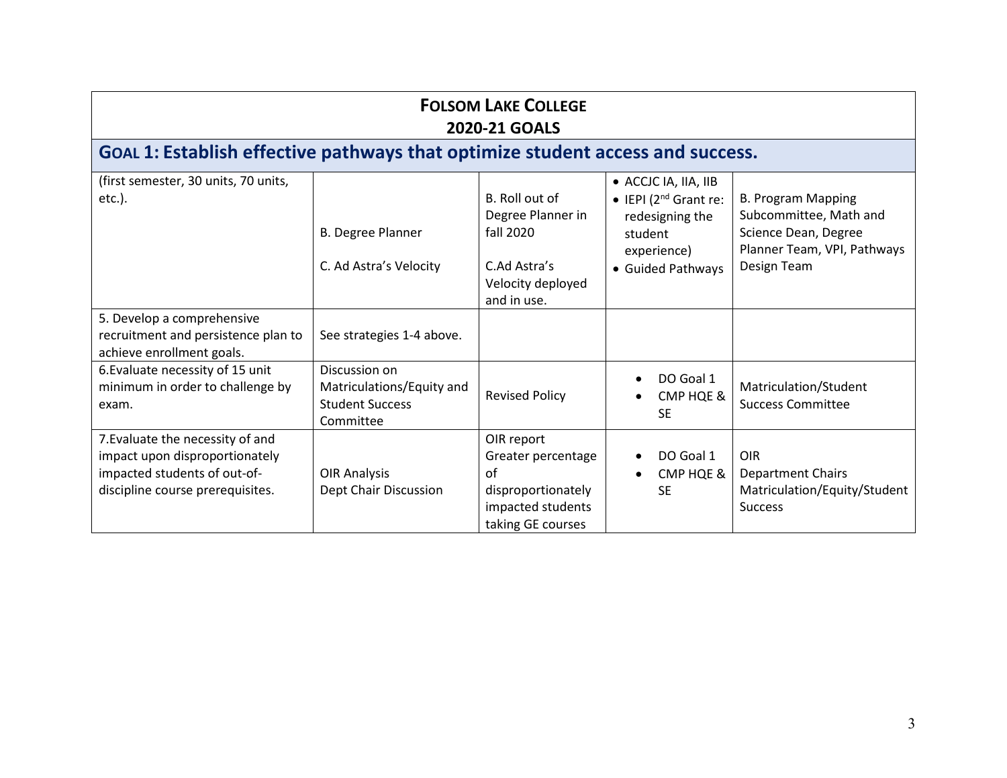| <b>FOLSOM LAKE COLLEGE</b><br><b>2020-21 GOALS</b>                                                                                     |                                                                                   |                                                                                                        |                                                                                                                      |                                                                                                                           |
|----------------------------------------------------------------------------------------------------------------------------------------|-----------------------------------------------------------------------------------|--------------------------------------------------------------------------------------------------------|----------------------------------------------------------------------------------------------------------------------|---------------------------------------------------------------------------------------------------------------------------|
| GOAL 1: Establish effective pathways that optimize student access and success.                                                         |                                                                                   |                                                                                                        |                                                                                                                      |                                                                                                                           |
| (first semester, 30 units, 70 units,<br>$etc.$ ).                                                                                      | <b>B. Degree Planner</b><br>C. Ad Astra's Velocity                                | B. Roll out of<br>Degree Planner in<br>fall 2020<br>C.Ad Astra's<br>Velocity deployed<br>and in use.   | • ACCJC IA, IIA, IIB<br>• IEPI $(2^{nd}$ Grant re:<br>redesigning the<br>student<br>experience)<br>• Guided Pathways | <b>B. Program Mapping</b><br>Subcommittee, Math and<br>Science Dean, Degree<br>Planner Team, VPI, Pathways<br>Design Team |
| 5. Develop a comprehensive<br>recruitment and persistence plan to<br>achieve enrollment goals.                                         | See strategies 1-4 above.                                                         |                                                                                                        |                                                                                                                      |                                                                                                                           |
| 6. Evaluate necessity of 15 unit<br>minimum in order to challenge by<br>exam.                                                          | Discussion on<br>Matriculations/Equity and<br><b>Student Success</b><br>Committee | <b>Revised Policy</b>                                                                                  | DO Goal 1<br>CMP HQE &<br>SE.                                                                                        | Matriculation/Student<br><b>Success Committee</b>                                                                         |
| 7. Evaluate the necessity of and<br>impact upon disproportionately<br>impacted students of out-of-<br>discipline course prerequisites. | <b>OIR Analysis</b><br>Dept Chair Discussion                                      | OIR report<br>Greater percentage<br>of<br>disproportionately<br>impacted students<br>taking GE courses | DO Goal 1<br>CMP HQE &<br><b>SE</b>                                                                                  | <b>OIR</b><br><b>Department Chairs</b><br>Matriculation/Equity/Student<br><b>Success</b>                                  |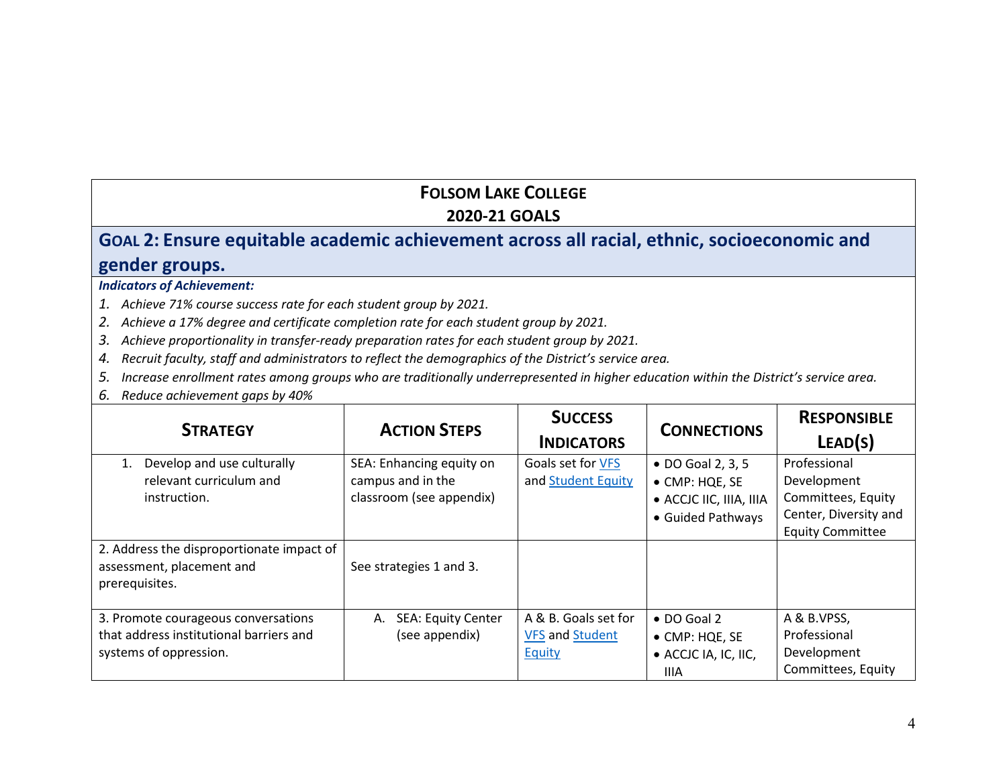## **GOAL 2: Ensure equitable academic achievement across all racial, ethnic, socioeconomic and gender groups.**

- *1. Achieve 71% course success rate for each student group by 2021.*
- *2. Achieve a 17% degree and certificate completion rate for each student group by 2021.*
- *3. Achieve proportionality in transfer-ready preparation rates for each student group by 2021.*
- *4. Recruit faculty, staff and administrators to reflect the demographics of the District's service area.*
- *5. Increase enrollment rates among groups who are traditionally underrepresented in higher education within the District's service area.*
- *6. Reduce achievement gaps by 40%*

| <b>STRATEGY</b>                                                                                          | <b>ACTION STEPS</b>                                                       | <b>SUCCESS</b><br><b>INDICATORS</b>                      | <b>CONNECTIONS</b>                                                                  | <b>RESPONSIBLE</b><br>LEAD(S)                                                                         |
|----------------------------------------------------------------------------------------------------------|---------------------------------------------------------------------------|----------------------------------------------------------|-------------------------------------------------------------------------------------|-------------------------------------------------------------------------------------------------------|
| Develop and use culturally<br>1.<br>relevant curriculum and<br>instruction.                              | SEA: Enhancing equity on<br>campus and in the<br>classroom (see appendix) | Goals set for VFS<br>and Student Equity                  | • DO Goal 2, 3, 5<br>• CMP: HQE, SE<br>• ACCJC IIC, IIIA, IIIA<br>• Guided Pathways | Professional<br>Development<br>Committees, Equity<br>Center, Diversity and<br><b>Equity Committee</b> |
| 2. Address the disproportionate impact of<br>assessment, placement and<br>prerequisites.                 | See strategies 1 and 3.                                                   |                                                          |                                                                                     |                                                                                                       |
| 3. Promote courageous conversations<br>that address institutional barriers and<br>systems of oppression. | <b>SEA: Equity Center</b><br>А.<br>(see appendix)                         | A & B. Goals set for<br><b>VFS and Student</b><br>Equity | $\bullet$ DO Goal 2<br>• CMP: HQE, SE<br>• ACCJC IA, IC, IIC,<br>IIIA               | A & B.VPSS,<br>Professional<br>Development<br>Committees, Equity                                      |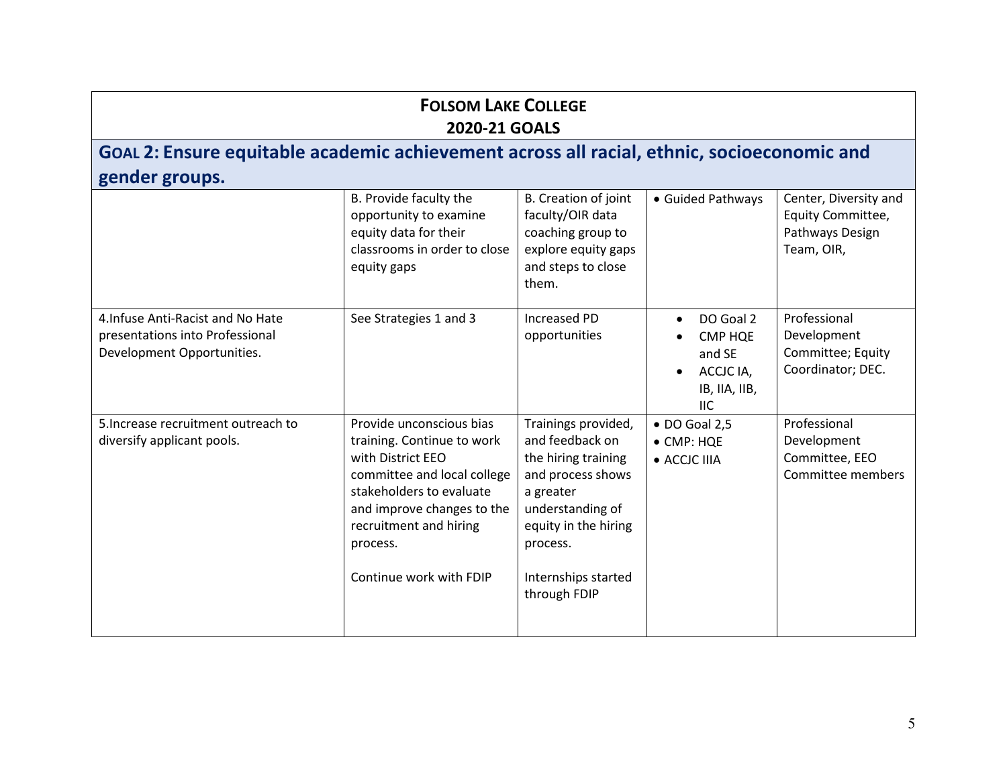# **GOAL 2: Ensure equitable academic achievement across all racial, ethnic, socioeconomic and gender groups.**

|                                                                                                    | B. Provide faculty the<br>opportunity to examine<br>equity data for their<br>classrooms in order to close<br>equity gaps                                                                                                              | B. Creation of joint<br>faculty/OIR data<br>coaching group to<br>explore equity gaps<br>and steps to close<br>them.                                                                            | • Guided Pathways                                                                                           | Center, Diversity and<br>Equity Committee,<br>Pathways Design<br>Team, OIR, |
|----------------------------------------------------------------------------------------------------|---------------------------------------------------------------------------------------------------------------------------------------------------------------------------------------------------------------------------------------|------------------------------------------------------------------------------------------------------------------------------------------------------------------------------------------------|-------------------------------------------------------------------------------------------------------------|-----------------------------------------------------------------------------|
| 4. Infuse Anti-Racist and No Hate<br>presentations into Professional<br>Development Opportunities. | See Strategies 1 and 3                                                                                                                                                                                                                | Increased PD<br>opportunities                                                                                                                                                                  | DO Goal 2<br>$\bullet$<br><b>CMP HQE</b><br>and SE<br>ACCJC IA,<br>$\bullet$<br>IB, IIA, IIB,<br><b>IIC</b> | Professional<br>Development<br>Committee; Equity<br>Coordinator; DEC.       |
| 5. Increase recruitment outreach to<br>diversify applicant pools.                                  | Provide unconscious bias<br>training. Continue to work<br>with District EEO<br>committee and local college<br>stakeholders to evaluate<br>and improve changes to the<br>recruitment and hiring<br>process.<br>Continue work with FDIP | Trainings provided,<br>and feedback on<br>the hiring training<br>and process shows<br>a greater<br>understanding of<br>equity in the hiring<br>process.<br>Internships started<br>through FDIP | $\bullet$ DO Goal 2,5<br>$\bullet$ CMP: HQE<br>• ACCJC IIIA                                                 | Professional<br>Development<br>Committee, EEO<br>Committee members          |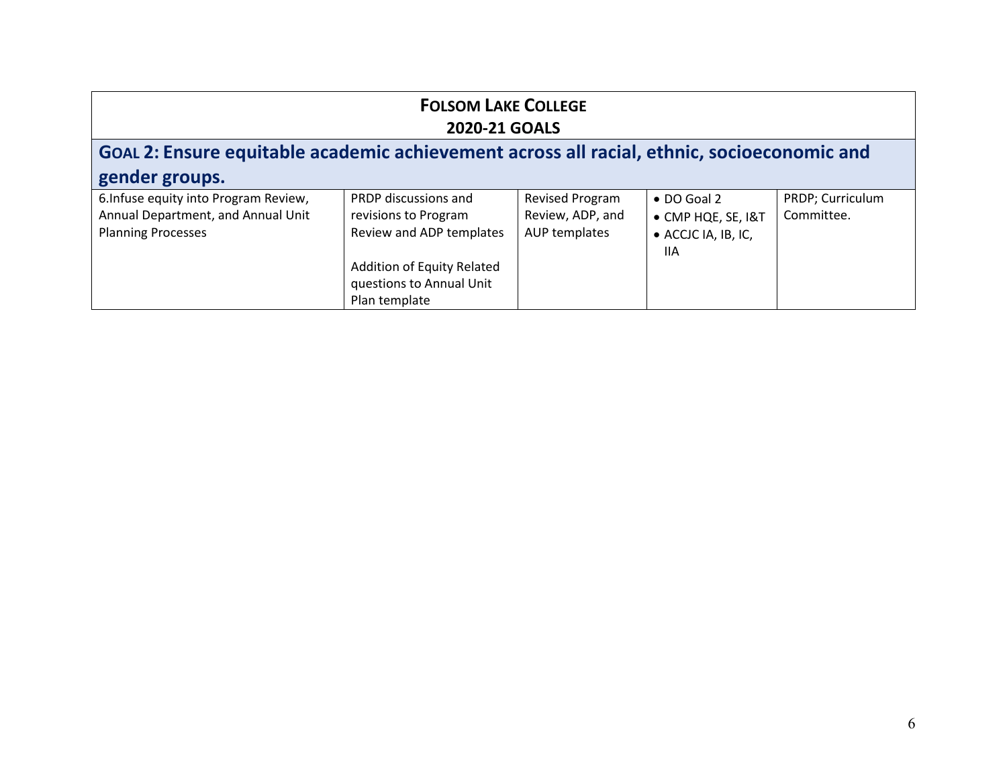| <b>FOLSOM LAKE COLLEGE</b><br><b>2020-21 GOALS</b>                                                       |                                                                                                        |                                                      |                                                                         |                                |
|----------------------------------------------------------------------------------------------------------|--------------------------------------------------------------------------------------------------------|------------------------------------------------------|-------------------------------------------------------------------------|--------------------------------|
| GOAL 2: Ensure equitable academic achievement across all racial, ethnic, socioeconomic and               |                                                                                                        |                                                      |                                                                         |                                |
| gender groups.                                                                                           |                                                                                                        |                                                      |                                                                         |                                |
| 6. Infuse equity into Program Review,<br>Annual Department, and Annual Unit<br><b>Planning Processes</b> | PRDP discussions and<br>revisions to Program<br>Review and ADP templates<br>Addition of Equity Related | Revised Program<br>Review, ADP, and<br>AUP templates | $\bullet$ DO Goal 2<br>• CMP HQE, SE, I&T<br>• ACCJC IA, IB, IC,<br>11A | PRDP; Curriculum<br>Committee. |
|                                                                                                          | questions to Annual Unit<br>Plan template                                                              |                                                      |                                                                         |                                |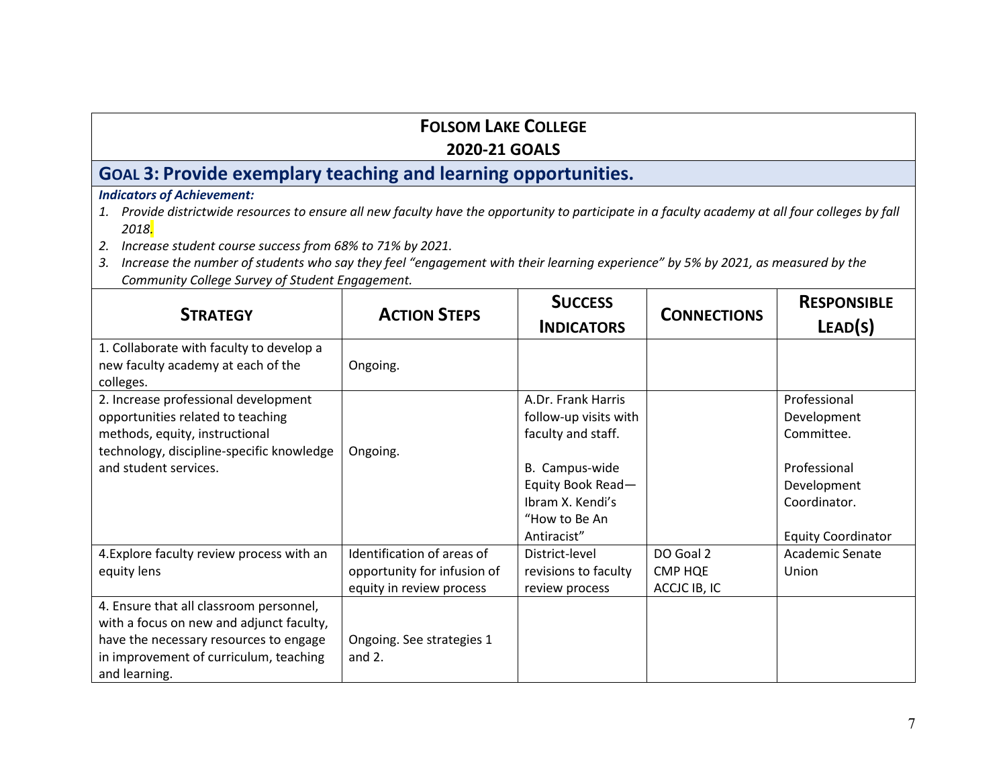## **FOLSOM LAKE COLLEGE**

#### **2020-21 GOALS**

# **GOAL 3: Provide exemplary teaching and learning opportunities.**

- *1. Provide districtwide resources to ensure all new faculty have the opportunity to participate in a faculty academy at all four colleges by fall 2018.*
- *2. Increase student course success from 68% to 71% by 2021.*
- *3. Increase the number of students who say they feel "engagement with their learning experience" by 5% by 2021, as measured by the Community College Survey of Student Engagement.*

| <b>STRATEGY</b>                                                                             | <b>ACTION STEPS</b>         | <b>SUCCESS</b><br><b>INDICATORS</b> | <b>CONNECTIONS</b> | <b>RESPONSIBLE</b><br>LEAD(S) |
|---------------------------------------------------------------------------------------------|-----------------------------|-------------------------------------|--------------------|-------------------------------|
| 1. Collaborate with faculty to develop a<br>new faculty academy at each of the<br>colleges. | Ongoing.                    |                                     |                    |                               |
| 2. Increase professional development                                                        |                             | A.Dr. Frank Harris                  |                    | Professional                  |
| opportunities related to teaching                                                           |                             | follow-up visits with               |                    | Development                   |
| methods, equity, instructional                                                              |                             | faculty and staff.                  |                    | Committee.                    |
| technology, discipline-specific knowledge                                                   | Ongoing.                    |                                     |                    |                               |
| and student services.                                                                       |                             | B. Campus-wide                      |                    | Professional                  |
|                                                                                             |                             | Equity Book Read-                   |                    | Development                   |
|                                                                                             |                             | Ibram X. Kendi's                    |                    | Coordinator.                  |
|                                                                                             |                             | "How to Be An                       |                    |                               |
|                                                                                             |                             | Antiracist"                         |                    | <b>Equity Coordinator</b>     |
| 4. Explore faculty review process with an                                                   | Identification of areas of  | District-level                      | DO Goal 2          | Academic Senate               |
| equity lens                                                                                 | opportunity for infusion of | revisions to faculty                | <b>CMP HQE</b>     | Union                         |
|                                                                                             | equity in review process    | review process                      | ACCJC IB, IC       |                               |
| 4. Ensure that all classroom personnel,                                                     |                             |                                     |                    |                               |
| with a focus on new and adjunct faculty,                                                    |                             |                                     |                    |                               |
| have the necessary resources to engage                                                      | Ongoing. See strategies 1   |                                     |                    |                               |
| in improvement of curriculum, teaching                                                      | and $2.$                    |                                     |                    |                               |
| and learning.                                                                               |                             |                                     |                    |                               |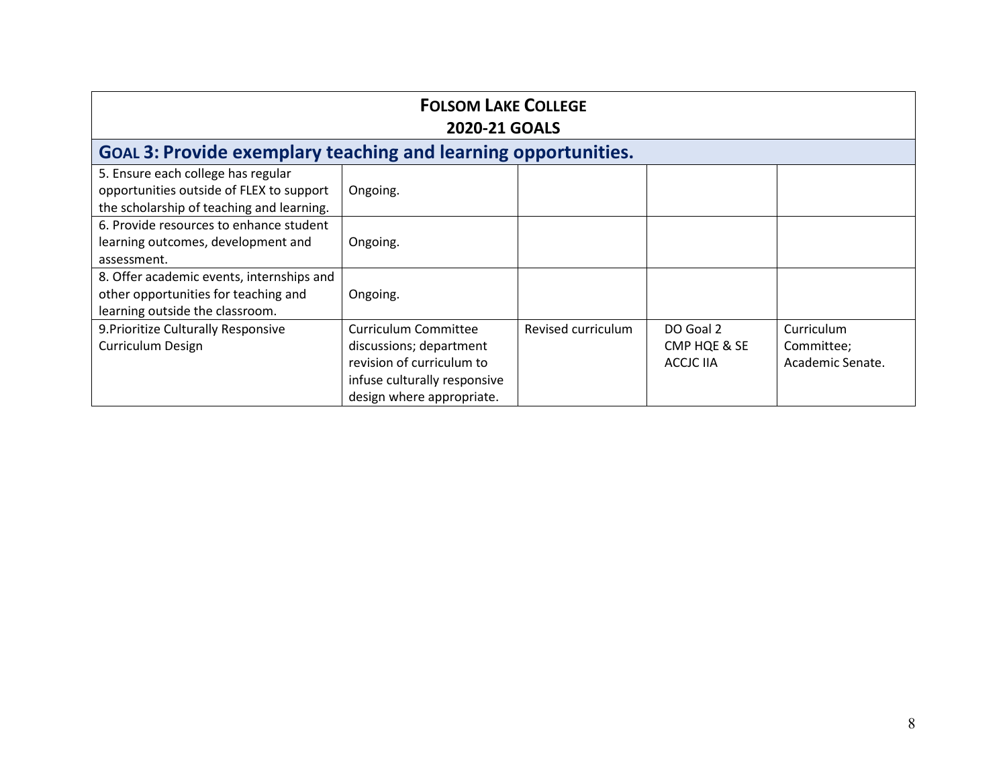| <b>FOLSOM LAKE COLLEGE</b><br><b>2020-21 GOALS</b>                                                                          |                                                                                                                                                  |                    |                                               |                                              |
|-----------------------------------------------------------------------------------------------------------------------------|--------------------------------------------------------------------------------------------------------------------------------------------------|--------------------|-----------------------------------------------|----------------------------------------------|
| <b>GOAL 3: Provide exemplary teaching and learning opportunities.</b>                                                       |                                                                                                                                                  |                    |                                               |                                              |
| 5. Ensure each college has regular<br>opportunities outside of FLEX to support<br>the scholarship of teaching and learning. | Ongoing.                                                                                                                                         |                    |                                               |                                              |
| 6. Provide resources to enhance student<br>learning outcomes, development and<br>assessment.                                | Ongoing.                                                                                                                                         |                    |                                               |                                              |
| 8. Offer academic events, internships and<br>other opportunities for teaching and<br>learning outside the classroom.        | Ongoing.                                                                                                                                         |                    |                                               |                                              |
| 9. Prioritize Culturally Responsive<br>Curriculum Design                                                                    | <b>Curriculum Committee</b><br>discussions; department<br>revision of curriculum to<br>infuse culturally responsive<br>design where appropriate. | Revised curriculum | DO Goal 2<br>CMP HQE & SE<br><b>ACCJC IIA</b> | Curriculum<br>Committee;<br>Academic Senate. |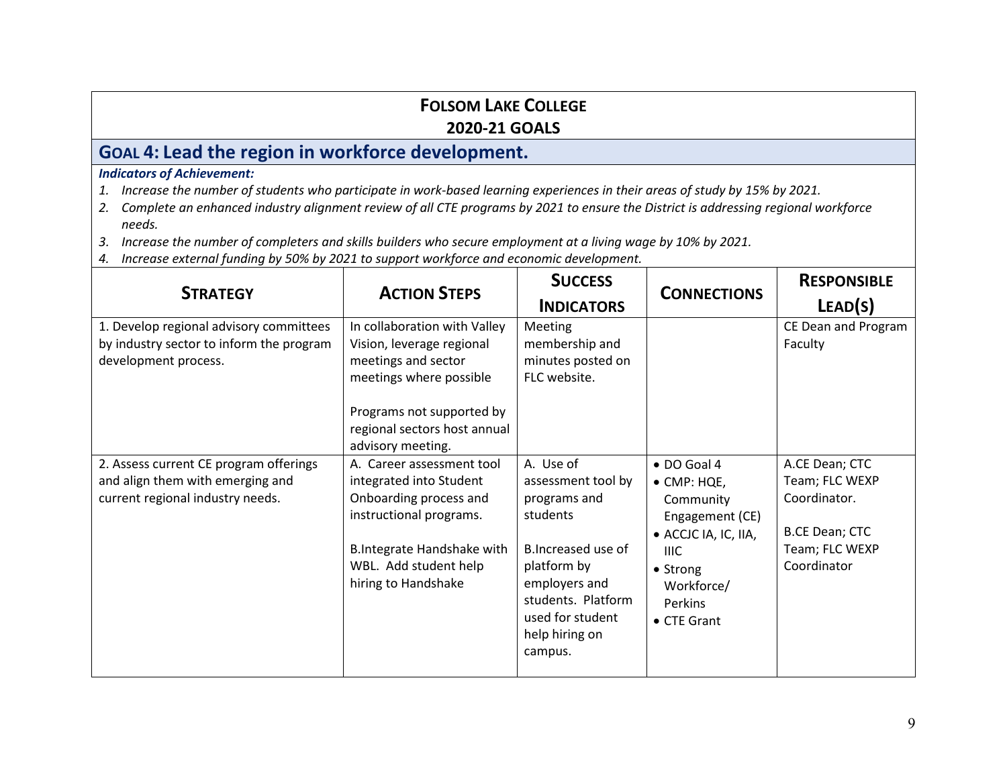# **GOAL 4: Lead the region in workforce development.**

- *1. Increase the number of students who participate in work-based learning experiences in their areas of study by 15% by 2021.*
- *2. Complete an enhanced industry alignment review of all CTE programs by 2021 to ensure the District is addressing regional workforce needs.*
- *3. Increase the number of completers and skills builders who secure employment at a living wage by 10% by 2021.*
- *4. Increase external funding by 50% by 2021 to support workforce and economic development.*

| <b>STRATEGY</b>                                                                                                | <b>ACTION STEPS</b>                                                                                         | <b>SUCCESS</b><br><b>INDICATORS</b>                                                                                       | <b>CONNECTIONS</b>                                                                 | <b>RESPONSIBLE</b><br>LEAD(S)                                             |
|----------------------------------------------------------------------------------------------------------------|-------------------------------------------------------------------------------------------------------------|---------------------------------------------------------------------------------------------------------------------------|------------------------------------------------------------------------------------|---------------------------------------------------------------------------|
| 1. Develop regional advisory committees<br>by industry sector to inform the program<br>development process.    | In collaboration with Valley<br>Vision, leverage regional<br>meetings and sector<br>meetings where possible | Meeting<br>membership and<br>minutes posted on<br>FLC website.                                                            |                                                                                    | CE Dean and Program<br>Faculty                                            |
|                                                                                                                | Programs not supported by<br>regional sectors host annual<br>advisory meeting.                              |                                                                                                                           |                                                                                    |                                                                           |
| 2. Assess current CE program offerings<br>and align them with emerging and<br>current regional industry needs. | A. Career assessment tool<br>integrated into Student<br>Onboarding process and<br>instructional programs.   | A. Use of<br>assessment tool by<br>programs and<br>students                                                               | · DO Goal 4<br>• CMP: HQE,<br>Community<br>Engagement (CE)<br>• ACCJC IA, IC, IIA, | A.CE Dean; CTC<br>Team; FLC WEXP<br>Coordinator.<br><b>B.CE Dean; CTC</b> |
|                                                                                                                | B.Integrate Handshake with<br>WBL. Add student help<br>hiring to Handshake                                  | B.Increased use of<br>platform by<br>employers and<br>students. Platform<br>used for student<br>help hiring on<br>campus. | THC.<br>• Strong<br>Workforce/<br>Perkins<br>• CTE Grant                           | Team; FLC WEXP<br>Coordinator                                             |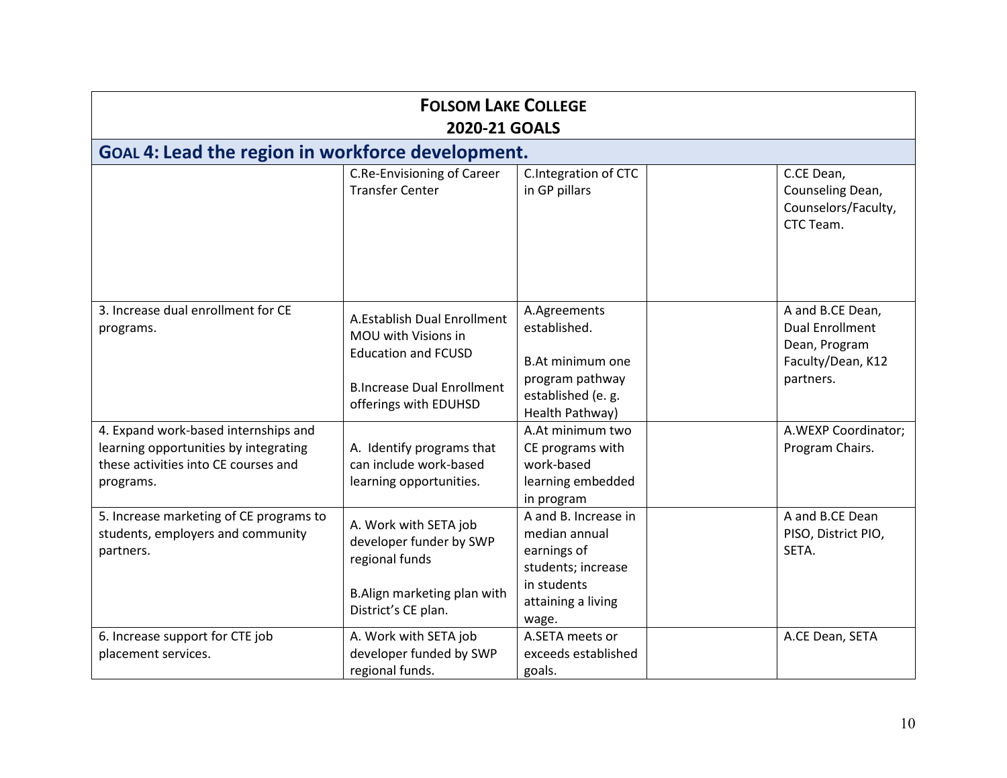| <b>FOLSOM LAKE COLLEGE</b><br><b>2020-21 GOALS</b>                                                                                 |                                                                                                                                                |                                                                                                                 |                                                                                               |  |
|------------------------------------------------------------------------------------------------------------------------------------|------------------------------------------------------------------------------------------------------------------------------------------------|-----------------------------------------------------------------------------------------------------------------|-----------------------------------------------------------------------------------------------|--|
| GOAL 4: Lead the region in workforce development.                                                                                  |                                                                                                                                                |                                                                                                                 |                                                                                               |  |
|                                                                                                                                    | <b>C.Re-Envisioning of Career</b><br><b>Transfer Center</b>                                                                                    | C.Integration of CTC<br>in GP pillars                                                                           | C.CE Dean,<br>Counseling Dean,<br>Counselors/Faculty,<br>CTC Team.                            |  |
| 3. Increase dual enrollment for CE<br>programs.                                                                                    | A.Establish Dual Enrollment<br>MOU with Visions in<br><b>Education and FCUSD</b><br><b>B.Increase Dual Enrollment</b><br>offerings with EDUHSD | A.Agreements<br>established.<br>B.At minimum one<br>program pathway<br>established (e. g.<br>Health Pathway)    | A and B.CE Dean,<br><b>Dual Enrollment</b><br>Dean, Program<br>Faculty/Dean, K12<br>partners. |  |
| 4. Expand work-based internships and<br>learning opportunities by integrating<br>these activities into CE courses and<br>programs. | A. Identify programs that<br>can include work-based<br>learning opportunities.                                                                 | A.At minimum two<br>CE programs with<br>work-based<br>learning embedded<br>in program                           | A.WEXP Coordinator;<br>Program Chairs.                                                        |  |
| 5. Increase marketing of CE programs to<br>students, employers and community<br>partners.                                          | A. Work with SETA job<br>developer funder by SWP<br>regional funds<br>B.Align marketing plan with<br>District's CE plan.                       | A and B. Increase in<br>median annual<br>earnings of<br>students; increase<br>in students<br>attaining a living | A and B.CE Dean<br>PISO, District PIO,<br>SETA.                                               |  |
| 6. Increase support for CTE job<br>placement services.                                                                             | A. Work with SETA job<br>developer funded by SWP<br>regional funds.                                                                            | wage.<br>A.SETA meets or<br>exceeds established<br>goals.                                                       | A.CE Dean, SETA                                                                               |  |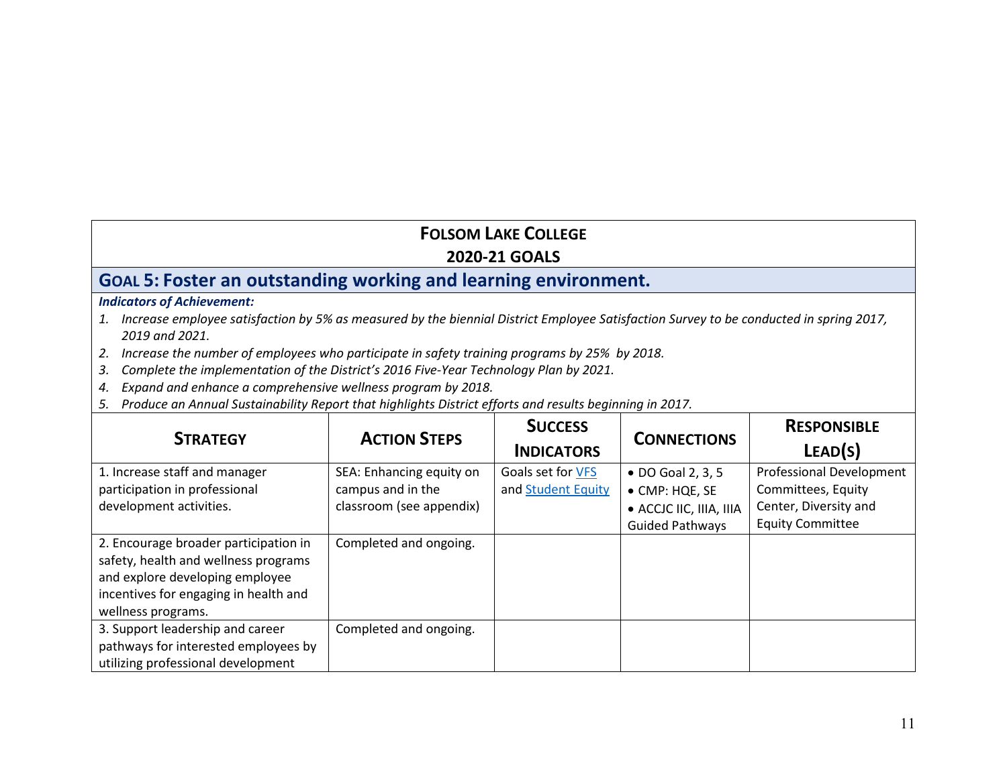## **GOAL 5: Foster an outstanding working and learning environment.**

- *1. Increase employee satisfaction by 5% as measured by the biennial District Employee Satisfaction Survey to be conducted in spring 2017, 2019 and 2021.*
- *2. Increase the number of employees who participate in safety training programs by 25% by 2018.*
- *3. Complete the implementation of the District's 2016 Five-Year Technology Plan by 2021.*
- *4. Expand and enhance a comprehensive wellness program by 2018.*
- *5. Produce an Annual Sustainability Report that highlights District efforts and results beginning in 2017.*

| <b>STRATEGY</b>                                                                                                                                                                 | <b>ACTION STEPS</b>                                                       | <b>SUCCESS</b><br><b>INDICATORS</b>     | <b>CONNECTIONS</b>                                                                       | <b>RESPONSIBLE</b><br>LEAD(S)                                                                      |
|---------------------------------------------------------------------------------------------------------------------------------------------------------------------------------|---------------------------------------------------------------------------|-----------------------------------------|------------------------------------------------------------------------------------------|----------------------------------------------------------------------------------------------------|
| 1. Increase staff and manager<br>participation in professional<br>development activities.                                                                                       | SEA: Enhancing equity on<br>campus and in the<br>classroom (see appendix) | Goals set for VFS<br>and Student Equity | • DO Goal 2, 3, 5<br>• CMP: HQE, SE<br>• ACCJC IIC, IIIA, IIIA<br><b>Guided Pathways</b> | Professional Development<br>Committees, Equity<br>Center, Diversity and<br><b>Equity Committee</b> |
| 2. Encourage broader participation in<br>safety, health and wellness programs<br>and explore developing employee<br>incentives for engaging in health and<br>wellness programs. | Completed and ongoing.                                                    |                                         |                                                                                          |                                                                                                    |
| 3. Support leadership and career<br>pathways for interested employees by<br>utilizing professional development                                                                  | Completed and ongoing.                                                    |                                         |                                                                                          |                                                                                                    |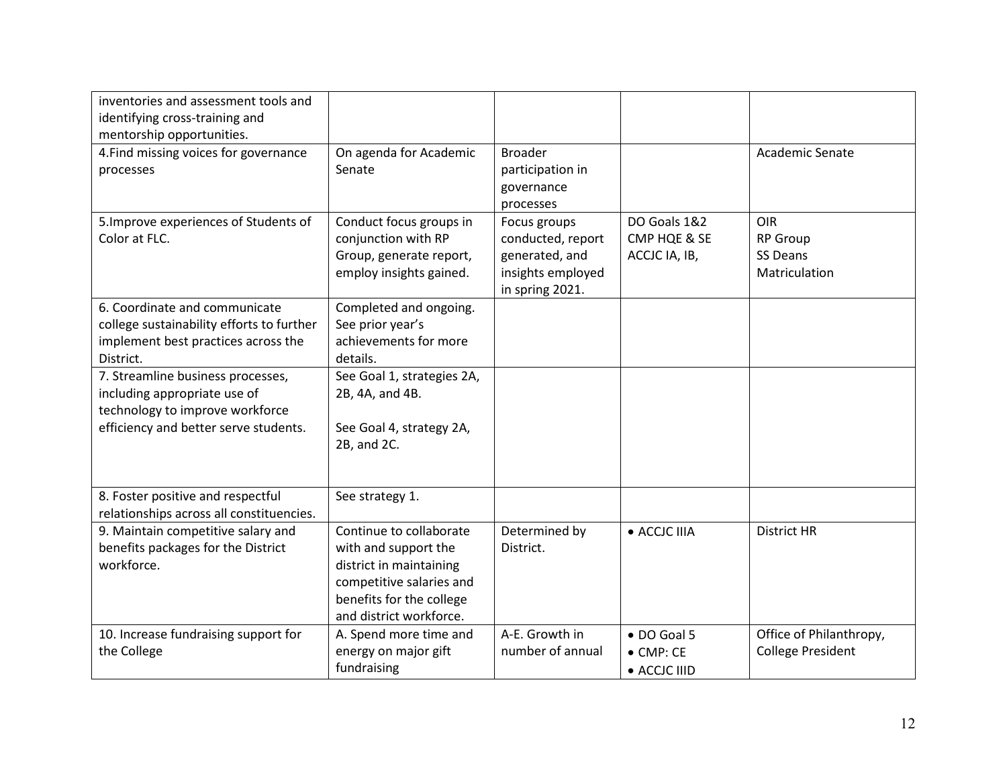| inventories and assessment tools and<br>identifying cross-training and<br>mentorship opportunities.                                           |                                                                                                                                                               |                                                                                             |                                                  |                                                            |
|-----------------------------------------------------------------------------------------------------------------------------------------------|---------------------------------------------------------------------------------------------------------------------------------------------------------------|---------------------------------------------------------------------------------------------|--------------------------------------------------|------------------------------------------------------------|
| 4. Find missing voices for governance<br>processes                                                                                            | On agenda for Academic<br>Senate                                                                                                                              | <b>Broader</b><br>participation in<br>governance<br>processes                               |                                                  | Academic Senate                                            |
| 5. Improve experiences of Students of<br>Color at FLC.                                                                                        | Conduct focus groups in<br>conjunction with RP<br>Group, generate report,<br>employ insights gained.                                                          | Focus groups<br>conducted, report<br>generated, and<br>insights employed<br>in spring 2021. | DO Goals 1&2<br>CMP HQE & SE<br>ACCJC IA, IB,    | <b>OIR</b><br><b>RP Group</b><br>SS Deans<br>Matriculation |
| 6. Coordinate and communicate<br>college sustainability efforts to further<br>implement best practices across the<br>District.                | Completed and ongoing.<br>See prior year's<br>achievements for more<br>details.                                                                               |                                                                                             |                                                  |                                                            |
| 7. Streamline business processes,<br>including appropriate use of<br>technology to improve workforce<br>efficiency and better serve students. | See Goal 1, strategies 2A,<br>2B, 4A, and 4B.<br>See Goal 4, strategy 2A,<br>2B, and 2C.                                                                      |                                                                                             |                                                  |                                                            |
| 8. Foster positive and respectful<br>relationships across all constituencies.                                                                 | See strategy 1.                                                                                                                                               |                                                                                             |                                                  |                                                            |
| 9. Maintain competitive salary and<br>benefits packages for the District<br>workforce.                                                        | Continue to collaborate<br>with and support the<br>district in maintaining<br>competitive salaries and<br>benefits for the college<br>and district workforce. | Determined by<br>District.                                                                  | · ACCJC IIIA                                     | <b>District HR</b>                                         |
| 10. Increase fundraising support for<br>the College                                                                                           | A. Spend more time and<br>energy on major gift<br>fundraising                                                                                                 | A-E. Growth in<br>number of annual                                                          | • DO Goal 5<br>$\bullet$ CMP: CE<br>• ACCJC IIID | Office of Philanthropy,<br><b>College President</b>        |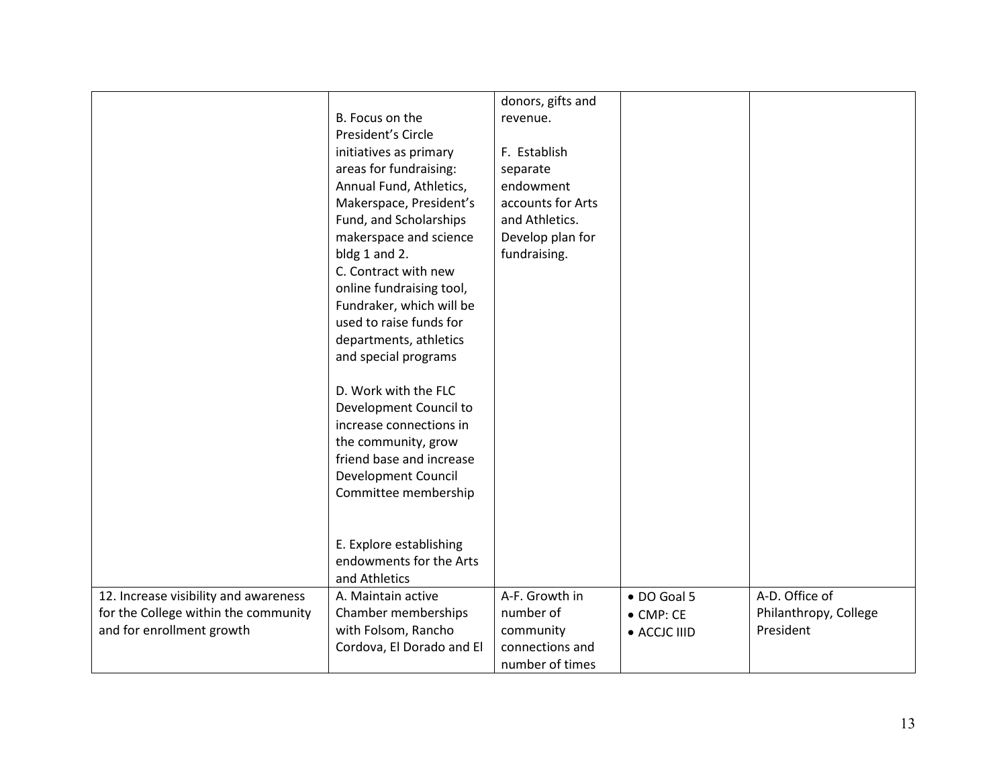|                                                                                                            | B. Focus on the<br>President's Circle<br>initiatives as primary<br>areas for fundraising:<br>Annual Fund, Athletics,<br>Makerspace, President's<br>Fund, and Scholarships<br>makerspace and science<br>bldg 1 and 2.<br>C. Contract with new<br>online fundraising tool,<br>Fundraker, which will be<br>used to raise funds for<br>departments, athletics<br>and special programs<br>D. Work with the FLC<br>Development Council to<br>increase connections in<br>the community, grow<br>friend base and increase<br>Development Council<br>Committee membership<br>E. Explore establishing<br>endowments for the Arts | donors, gifts and<br>revenue.<br>F. Establish<br>separate<br>endowment<br>accounts for Arts<br>and Athletics.<br>Develop plan for<br>fundraising. |                                                  |                                                      |
|------------------------------------------------------------------------------------------------------------|------------------------------------------------------------------------------------------------------------------------------------------------------------------------------------------------------------------------------------------------------------------------------------------------------------------------------------------------------------------------------------------------------------------------------------------------------------------------------------------------------------------------------------------------------------------------------------------------------------------------|---------------------------------------------------------------------------------------------------------------------------------------------------|--------------------------------------------------|------------------------------------------------------|
|                                                                                                            | and Athletics                                                                                                                                                                                                                                                                                                                                                                                                                                                                                                                                                                                                          |                                                                                                                                                   |                                                  |                                                      |
| 12. Increase visibility and awareness<br>for the College within the community<br>and for enrollment growth | A. Maintain active<br>Chamber memberships<br>with Folsom, Rancho<br>Cordova, El Dorado and El                                                                                                                                                                                                                                                                                                                                                                                                                                                                                                                          | A-F. Growth in<br>number of<br>community<br>connections and<br>number of times                                                                    | • DO Goal 5<br>$\bullet$ CMP: CE<br>• ACCJC IIID | A-D. Office of<br>Philanthropy, College<br>President |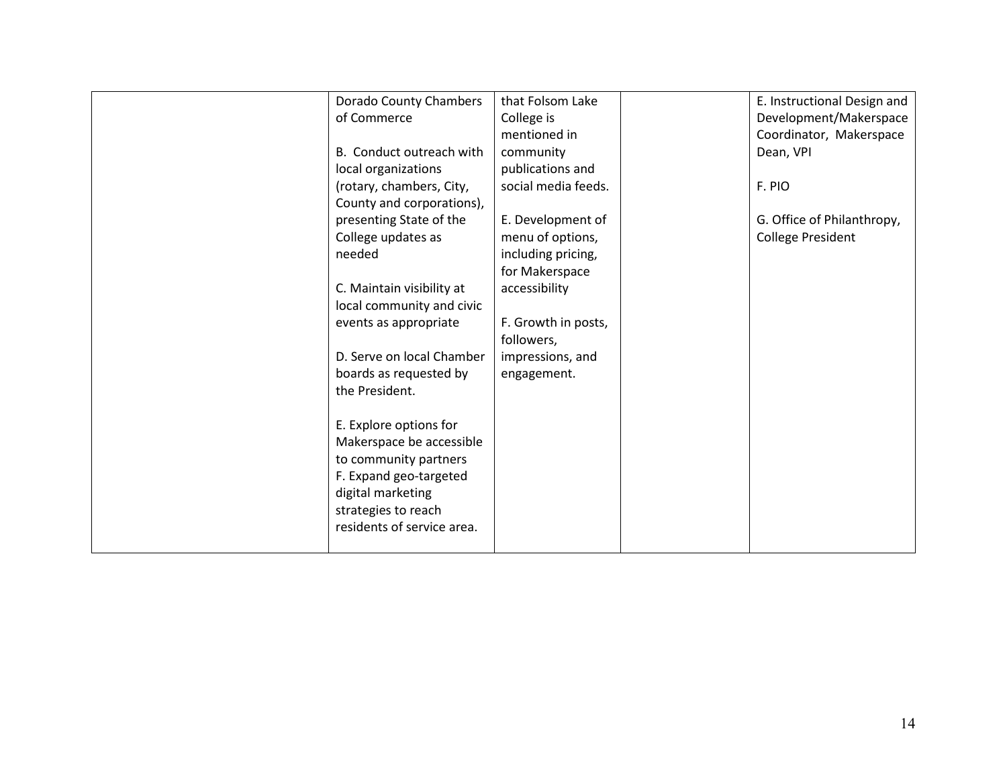| Dorado County Chambers     | that Folsom Lake    | E. Instructional Design and |
|----------------------------|---------------------|-----------------------------|
| of Commerce                | College is          | Development/Makerspace      |
|                            | mentioned in        | Coordinator, Makerspace     |
| B. Conduct outreach with   | community           | Dean, VPI                   |
|                            |                     |                             |
| local organizations        | publications and    |                             |
| (rotary, chambers, City,   | social media feeds. | F. PIO                      |
| County and corporations),  |                     |                             |
| presenting State of the    | E. Development of   | G. Office of Philanthropy,  |
| College updates as         | menu of options,    | <b>College President</b>    |
| needed                     | including pricing,  |                             |
|                            | for Makerspace      |                             |
| C. Maintain visibility at  | accessibility       |                             |
| local community and civic  |                     |                             |
| events as appropriate      | F. Growth in posts, |                             |
|                            | followers,          |                             |
| D. Serve on local Chamber  | impressions, and    |                             |
| boards as requested by     | engagement.         |                             |
| the President.             |                     |                             |
|                            |                     |                             |
| E. Explore options for     |                     |                             |
| Makerspace be accessible   |                     |                             |
| to community partners      |                     |                             |
|                            |                     |                             |
| F. Expand geo-targeted     |                     |                             |
| digital marketing          |                     |                             |
| strategies to reach        |                     |                             |
| residents of service area. |                     |                             |
|                            |                     |                             |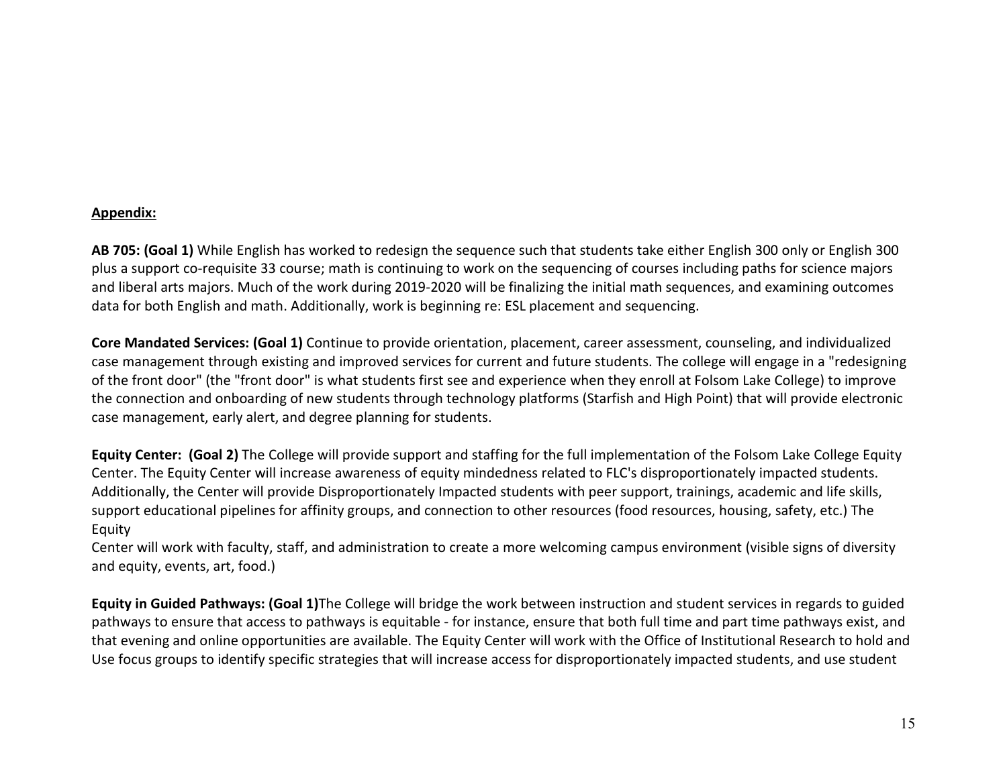#### **Appendix:**

**AB 705: (Goal 1)** While English has worked to redesign the sequence such that students take either English 300 only or English 300 plus a support co-requisite 33 course; math is continuing to work on the sequencing of courses including paths for science majors and liberal arts majors. Much of the work during 2019-2020 will be finalizing the initial math sequences, and examining outcomes data for both English and math. Additionally, work is beginning re: ESL placement and sequencing.

**Core Mandated Services: (Goal 1)** Continue to provide orientation, placement, career assessment, counseling, and individualized case management through existing and improved services for current and future students. The college will engage in a "redesigning of the front door" (the "front door" is what students first see and experience when they enroll at Folsom Lake College) to improve the connection and onboarding of new students through technology platforms (Starfish and High Point) that will provide electronic case management, early alert, and degree planning for students.

**Equity Center: (Goal 2)** The College will provide support and staffing for the full implementation of the Folsom Lake College Equity Center. The Equity Center will increase awareness of equity mindedness related to FLC's disproportionately impacted students. Additionally, the Center will provide Disproportionately Impacted students with peer support, trainings, academic and life skills, support educational pipelines for affinity groups, and connection to other resources (food resources, housing, safety, etc.) The Equity

Center will work with faculty, staff, and administration to create a more welcoming campus environment (visible signs of diversity and equity, events, art, food.)

**Equity in Guided Pathways: (Goal 1)**The College will bridge the work between instruction and student services in regards to guided pathways to ensure that access to pathways is equitable - for instance, ensure that both full time and part time pathways exist, and that evening and online opportunities are available. The Equity Center will work with the Office of Institutional Research to hold and Use focus groups to identify specific strategies that will increase access for disproportionately impacted students, and use student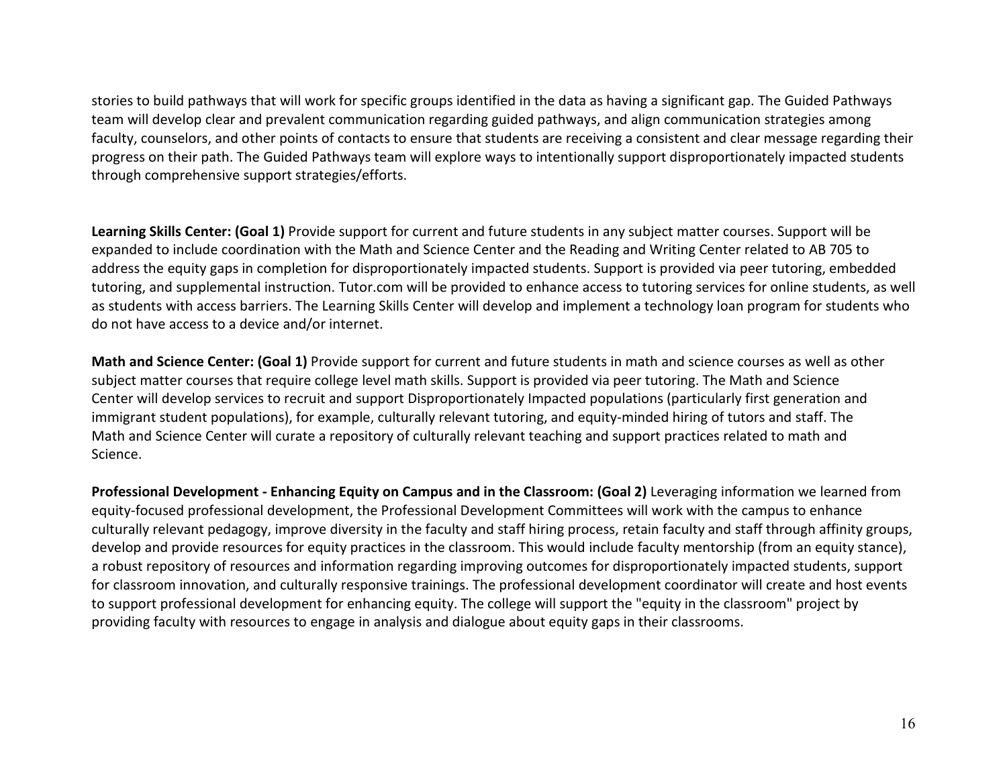stories to build pathways that will work for specific groups identified in the data as having a significant gap. The Guided Pathways team will develop clear and prevalent communication regarding guided pathways, and align communication strategies among faculty, counselors, and other points of contacts to ensure that students are receiving a consistent and clear message regarding their progress on their path. The Guided Pathways team will explore ways to intentionally support disproportionately impacted students through comprehensive support strategies/efforts.

**Learning Skills Center: (Goal 1)** Provide support for current and future students in any subject matter courses. Support will be expanded to include coordination with the Math and Science Center and the Reading and Writing Center related to AB 705 to address the equity gaps in completion for disproportionately impacted students. Support is provided via peer tutoring, embedded tutoring, and supplemental instruction. Tutor.com will be provided to enhance access to tutoring services for online students, as well as students with access barriers. The Learning Skills Center will develop and implement a technology loan program for students who do not have access to a device and/or internet.

**Math and Science Center: (Goal 1)** Provide support for current and future students in math and science courses as well as other subject matter courses that require college level math skills. Support is provided via peer tutoring. The Math and Science Center will develop services to recruit and support Disproportionately Impacted populations (particularly first generation and immigrant student populations), for example, culturally relevant tutoring, and equity-minded hiring of tutors and staff. The Math and Science Center will curate a repository of culturally relevant teaching and support practices related to math and Science.

**Professional Development - Enhancing Equity on Campus and in the Classroom: (Goal 2)** Leveraging information we learned from equity-focused professional development, the Professional Development Committees will work with the campus to enhance culturally relevant pedagogy, improve diversity in the faculty and staff hiring process, retain faculty and staff through affinity groups, develop and provide resources for equity practices in the classroom. This would include faculty mentorship (from an equity stance), a robust repository of resources and information regarding improving outcomes for disproportionately impacted students, support for classroom innovation, and culturally responsive trainings. The professional development coordinator will create and host events to support professional development for enhancing equity. The college will support the "equity in the classroom" project by providing faculty with resources to engage in analysis and dialogue about equity gaps in their classrooms.